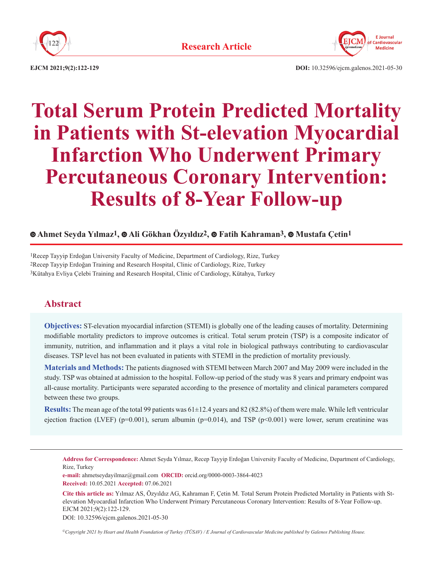



**EJCM 2021;9(2):122-129 DOI:** 10.32596/ejcm.galenos.2021-05-30

# **Total Serum Protein Predicted Mortality in Patients with St-elevation Myocardial Infarction Who Underwent Primary Percutaneous Coronary Intervention: Results of 8-Year Follow-up**

## **Ahmet Seyda Yılmaz1,Ali Gökhan Özyıldız2,Fatih Kahraman3,Mustafa Çetin1**

1Recep Tayyip Erdoğan University Faculty of Medicine, Department of Cardiology, Rize, Turkey 2Recep Tayyip Erdoğan Training and Research Hospital, Clinic of Cardiology, Rize, Turkey 3Kütahya Evliya Çelebi Training and Research Hospital, Clinic of Cardiology, Kütahya, Turkey

## **Abstract**

**Objectives:** ST-elevation myocardial infarction (STEMI) is globally one of the leading causes of mortality. Determining modifiable mortality predictors to improve outcomes is critical. Total serum protein (TSP) is a composite indicator of immunity, nutrition, and inflammation and it plays a vital role in biological pathways contributing to cardiovascular diseases. TSP level has not been evaluated in patients with STEMI in the prediction of mortality previously.

**Materials and Methods:** The patients diagnosed with STEMI between March 2007 and May 2009 were included in the study. TSP was obtained at admission to the hospital. Follow-up period of the study was 8 years and primary endpoint was all-cause mortality. Participants were separated according to the presence of mortality and clinical parameters compared between these two groups.

**Results:** The mean age of the total 99 patients was 61±12.4 years and 82 (82.8%) of them were male. While left ventricular ejection fraction (LVEF) ( $p=0.001$ ), serum albumin ( $p=0.014$ ), and TSP ( $p<0.001$ ) were lower, serum creatinine was

**Address for Correspondence:** Ahmet Seyda Yılmaz, Recep Tayyip Erdoğan University Faculty of Medicine, Department of Cardiology, Rize, Turkey

**e-mail:** ahmetseydayilmaz@gmail.com **ORCID:** orcid.org/0000-0003-3864-4023 **Received:** 10.05.2021 **Accepted:** 07.06.2021

**Cite this article as:** Yılmaz AS, Özyıldız AG, Kahraman F, Çetin M. Total Serum Protein Predicted Mortality in Patients with Stelevation Myocardial Infarction Who Underwent Primary Percutaneous Coronary Intervention: Results of 8-Year Follow-up. EJCM 2021;9(2):122-129.

DOI: 10.32596/ejcm.galenos.2021-05-30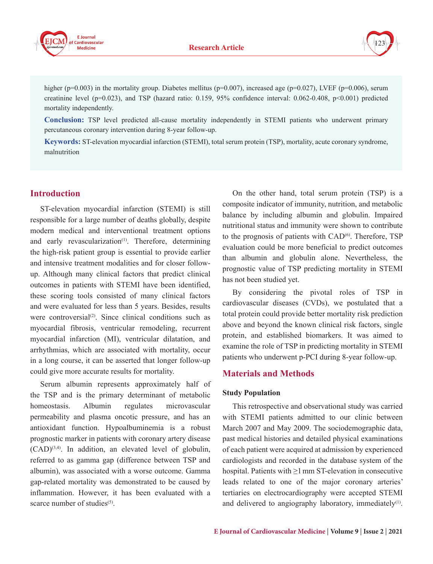



higher (p=0.003) in the mortality group. Diabetes mellitus (p=0.007), increased age (p=0.027), LVEF (p=0.006), serum creatinine level (p=0.023), and TSP (hazard ratio: 0.159, 95% confidence interval: 0.062-0.408, p<0.001) predicted mortality independently.

**Conclusion:** TSP level predicted all-cause mortality independently in STEMI patients who underwent primary percutaneous coronary intervention during 8-year follow-up.

**Keywords:** ST-elevation myocardial infarction (STEMI), total serum protein (TSP), mortality, acute coronary syndrome, malnutrition

#### **Introduction**

ST-elevation myocardial infarction (STEMI) is still responsible for a large number of deaths globally, despite modern medical and interventional treatment options and early revascularization<sup>(1)</sup>. Therefore, determining the high-risk patient group is essential to provide earlier and intensive treatment modalities and for closer followup. Although many clinical factors that predict clinical outcomes in patients with STEMI have been identified, these scoring tools consisted of many clinical factors and were evaluated for less than 5 years. Besides, results were controversial $(2)$ . Since clinical conditions such as myocardial fibrosis, ventricular remodeling, recurrent myocardial infarction (MI), ventricular dilatation, and arrhythmias, which are associated with mortality, occur in a long course, it can be asserted that longer follow-up could give more accurate results for mortality.

Serum albumin represents approximately half of the TSP and is the primary determinant of metabolic homeostasis. Albumin regulates microvascular permeability and plasma oncotic pressure, and has an antioxidant function. Hypoalbuminemia is a robust prognostic marker in patients with coronary artery disease  $(CAD)^{(3,4)}$ . In addition, an elevated level of globulin, referred to as gamma gap (difference between TSP and albumin), was associated with a worse outcome. Gamma gap-related mortality was demonstrated to be caused by inflammation. However, it has been evaluated with a scarce number of studies $(5)$ .

On the other hand, total serum protein (TSP) is a composite indicator of immunity, nutrition, and metabolic balance by including albumin and globulin. Impaired nutritional status and immunity were shown to contribute to the prognosis of patients with  $CAD^{(6)}$ . Therefore, TSP evaluation could be more beneficial to predict outcomes than albumin and globulin alone. Nevertheless, the prognostic value of TSP predicting mortality in STEMI has not been studied yet.

By considering the pivotal roles of TSP in cardiovascular diseases (CVDs), we postulated that a total protein could provide better mortality risk prediction above and beyond the known clinical risk factors, single protein, and established biomarkers. It was aimed to examine the role of TSP in predicting mortality in STEMI patients who underwent p-PCI during 8-year follow-up.

#### **Materials and Methods**

#### **Study Population**

This retrospective and observational study was carried with STEMI patients admitted to our clinic between March 2007 and May 2009. The sociodemographic data, past medical histories and detailed physical examinations of each patient were acquired at admission by experienced cardiologists and recorded in the database system of the hospital. Patients with ≥1mm ST-elevation in consecutive leads related to one of the major coronary arteries' tertiaries on electrocardiography were accepted STEMI and delivered to angiography laboratory, immediately<sup>(1)</sup>.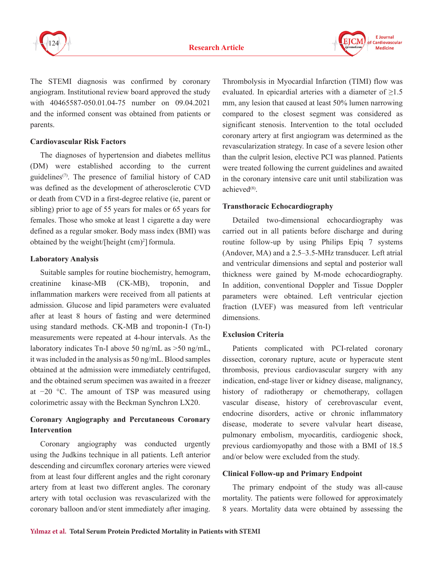



The STEMI diagnosis was confirmed by coronary angiogram. Institutional review board approved the study with 40465587-050.01.04-75 number on 09.04.2021 and the informed consent was obtained from patients or parents.

#### **Cardiovascular Risk Factors**

The diagnoses of hypertension and diabetes mellitus (DM) were established according to the current guidelines<sup> $(7)$ </sup>. The presence of familial history of CAD was defined as the development of atherosclerotic CVD or death from CVD in a first-degree relative (ie, parent or sibling) prior to age of 55 years for males or 65 years for females. Those who smoke at least 1 cigarette a day were defined as a regular smoker. Body mass index (BMI) was obtained by the weight/[height  $(cm)^2]$  formula.

#### **Laboratory Analysis**

Suitable samples for routine biochemistry, hemogram, creatinine kinase-MB (CK-MB), troponin, and inflammation markers were received from all patients at admission. Glucose and lipid parameters were evaluated after at least 8 hours of fasting and were determined using standard methods. CK-MB and troponin-I (Tn-I) measurements were repeated at 4-hour intervals. As the laboratory indicates Tn-I above 50 ng/mL as >50 ng/mL, it was included in the analysis as 50 ng/mL. Blood samples obtained at the admission were immediately centrifuged, and the obtained serum specimen was awaited in a freezer at −20 °C. The amount of TSP was measured using colorimetric assay with the Beckman Synchron LX20.

## **Coronary Angiography and Percutaneous Coronary Intervention**

Coronary angiography was conducted urgently using the Judkins technique in all patients. Left anterior descending and circumflex coronary arteries were viewed from at least four different angles and the right coronary artery from at least two different angles. The coronary artery with total occlusion was revascularized with the coronary balloon and/or stent immediately after imaging.

Thrombolysis in Myocardial Infarction (TIMI) flow was evaluated. In epicardial arteries with a diameter of  $\geq 1.5$ mm, any lesion that caused at least 50% lumen narrowing compared to the closest segment was considered as significant stenosis. Intervention to the total occluded coronary artery at first angiogram was determined as the revascularization strategy. In case of a severe lesion other than the culprit lesion, elective PCI was planned. Patients were treated following the current guidelines and awaited in the coronary intensive care unit until stabilization was achieved $(8)$ 

## **Transthoracic Echocardiography**

Detailed two-dimensional echocardiography was carried out in all patients before discharge and during routine follow-up by using Philips Epiq 7 systems (Andover, MA) and a 2.5–3.5-MHz transducer. Left atrial and ventricular dimensions and septal and posterior wall thickness were gained by M-mode echocardiography. In addition, conventional Doppler and Tissue Doppler parameters were obtained. Left ventricular ejection fraction (LVEF) was measured from left ventricular dimensions.

## **Exclusion Criteria**

Patients complicated with PCI-related coronary dissection, coronary rupture, acute or hyperacute stent thrombosis, previous cardiovascular surgery with any indication, end-stage liver or kidney disease, malignancy, history of radiotherapy or chemotherapy, collagen vascular disease, history of cerebrovascular event, endocrine disorders, active or chronic inflammatory disease, moderate to severe valvular heart disease, pulmonary embolism, myocarditis, cardiogenic shock, previous cardiomyopathy and those with a BMI of 18.5 and/or below were excluded from the study.

## **Clinical Follow-up and Primary Endpoint**

The primary endpoint of the study was all-cause mortality. The patients were followed for approximately 8 years. Mortality data were obtained by assessing the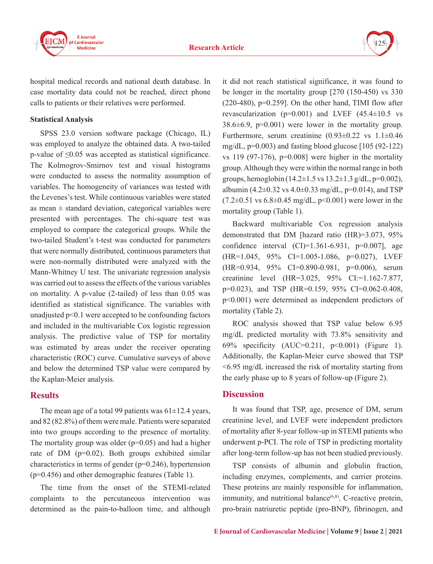

hospital medical records and national death database. In case mortality data could not be reached, direct phone calls to patients or their relatives were performed.

#### **Statistical Analysis**

SPSS 23.0 version software package (Chicago, IL) was employed to analyze the obtained data. A two-tailed p-value of ≤0.05 was accepted as statistical significance. The Kolmogrov-Smirnov test and visual histograms were conducted to assess the normality assumption of variables. The homogeneity of variances was tested with the Levenes's test. While continuous variables were stated as mean  $\pm$  standard deviation, categorical variables were presented with percentages. The chi-square test was employed to compare the categorical groups. While the two-tailed Student's t-test was conducted for parameters that were normally distributed, continuous parameters that were non-normally distributed were analyzed with the Mann-Whitney U test. The univariate regression analysis was carried out to assess the effects of the various variables on mortality. A p-value (2-tailed) of less than 0.05 was identified as statistical significance. The variables with unadjusted p<0.1 were accepted to be confounding factors and included in the multivariable Cox logistic regression analysis. The predictive value of TSP for mortality was estimated by areas under the receiver operating characteristic (ROC) curve. Cumulative surveys of above and below the determined TSP value were compared by the Kaplan-Meier analysis.

## **Results**

The mean age of a total 99 patients was  $61\pm12.4$  years, and 82 (82.8%) of them were male. Patients were separated into two groups according to the presence of mortality. The mortality group was older  $(p=0.05)$  and had a higher rate of DM (p=0.02). Both groups exhibited similar characteristics in terms of gender (p=0.246), hypertension (p=0.456) and other demographic features (Table 1).

The time from the onset of the STEMI-related complaints to the percutaneous intervention was determined as the pain-to-balloon time, and although it did not reach statistical significance, it was found to be longer in the mortality group [270 (150-450) vs 330  $(220-480)$ , p=0.259]. On the other hand, TIMI flow after revascularization ( $p=0.001$ ) and LVEF ( $45.4\pm10.5$  vs  $38.6\pm6.9$ , p=0.001) were lower in the mortality group. Furthermore, serum creatinine  $(0.93\pm0.22 \text{ vs } 1.1\pm0.46$ mg/dL,  $p=0.003$ ) and fasting blood glucose [105 (92-122) vs 119 (97-176),  $p=0.008$ ] were higher in the mortality group. Although they were within the normal range in both groups, hemoglobin (14.2 $\pm$ 1.5 vs 13.2 $\pm$ 1.3 g/dL, p=0.002), albumin (4.2 $\pm$ 0.32 vs 4.0 $\pm$ 0.33 mg/dL, p=0.014), and TSP  $(7.2\pm0.51 \text{ vs } 6.8\pm0.45 \text{ mg/dL}, p<0.001)$  were lower in the mortality group (Table 1).

Backward multivariable Cox regression analysis demonstrated that DM [hazard ratio (HR)=3.073, 95% confidence interval  $(CI)=1.361-6.931$ ,  $p=0.007$ ], age (HR=1.045, 95% CI=1.005-1.086, p=0.027), LVEF (HR=0.934, 95% CI=0.890-0.981, p=0.006), serum creatinine level (HR=3.025, 95% CI:=1.162-7.877, p=0.023), and TSP (HR=0.159, 95% CI=0.062-0.408, p<0.001) were determined as independent predictors of mortality (Table 2).

ROC analysis showed that TSP value below 6.95 mg/dL predicted mortality with 73.8% sensitivity and 69% specificity (AUC=0.211, p<0.001) (Figure 1). Additionally, the Kaplan-Meier curve showed that TSP <6.95 mg/dL increased the risk of mortality starting from the early phase up to 8 years of follow-up (Figure 2).

## **Discussion**

It was found that TSP, age, presence of DM, serum creatinine level, and LVEF were independent predictors of mortality after 8-year follow-up in STEMI patients who underwent p-PCI. The role of TSP in predicting mortality after long-term follow-up has not been studied previously.

TSP consists of albumin and globulin fraction, including enzymes, complements, and carrier proteins. These proteins are mainly responsible for inflammation, immunity, and nutritional balance $(6,8)$ . C-reactive protein, pro-brain natriuretic peptide (pro-BNP), fibrinogen, and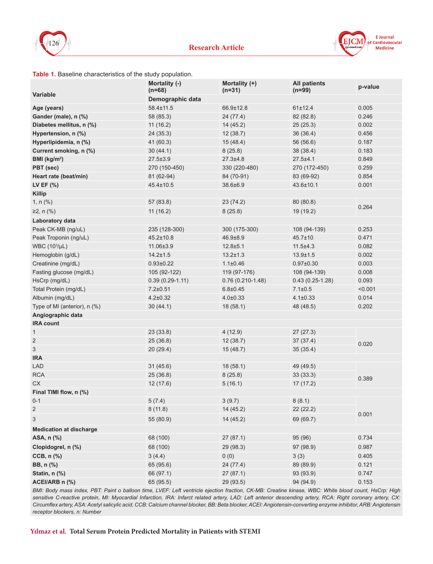



#### **Table 1.** Baseline characteristics of the study population.

|                                | Mortality (-)<br>$(n=68)$ | Mortality (+)<br>$(n=31)$ | <b>All patients</b><br>$(n=99)$ | p-value |  |  |  |  |  |  |
|--------------------------------|---------------------------|---------------------------|---------------------------------|---------|--|--|--|--|--|--|
| Variable                       | Demographic data          |                           |                                 |         |  |  |  |  |  |  |
| Age (years)                    | 58.4±11.5                 | 66.9±12.8                 | 61±12.4                         | 0.005   |  |  |  |  |  |  |
| Gander (male), n (%)           | 58 (85.3)                 | 24 (77.4)                 | 82 (82.8)                       | 0.246   |  |  |  |  |  |  |
| Diabetes mellitus, n (%)       | 11(16.2)                  | 14(45.2)                  | 25(25.3)                        | 0.002   |  |  |  |  |  |  |
| Hypertension, n (%)            | 24(35.3)                  | 12(38.7)                  | 36 (36.4)                       | 0.456   |  |  |  |  |  |  |
| Hyperlipidemia, n (%)          | 41 (60.3)                 | 15(48.4)                  | 56 (56.6)                       | 0.187   |  |  |  |  |  |  |
| Current smoking, n (%)         | 30(44.1)                  | 8(25.8)                   | 38 (38.4)                       | 0.183   |  |  |  |  |  |  |
| BMI ( $kg/m2$ )                | $27.5 \pm 3.9$            | $27.3 \pm 4.8$            | $27.5 + 4.1$                    | 0.849   |  |  |  |  |  |  |
| PBT (sec)                      | 270 (150-450)             | 330 (220-480)             | 270 (172-450)                   | 0.259   |  |  |  |  |  |  |
| Heart rate (beat/min)          | 81 (62-94)                | 84 (70-91)                | 83 (69-92)                      | 0.854   |  |  |  |  |  |  |
| LV EF (%)                      | 45.4±10.5                 | 38.6±6.9                  | 43.6±10.1                       | 0.001   |  |  |  |  |  |  |
| <b>Killip</b>                  |                           |                           |                                 |         |  |  |  |  |  |  |
| 1, $n$ (%)                     | 57 (83.8)                 | 23(74.2)                  | 80(80.8)                        |         |  |  |  |  |  |  |
| ≥2, n (%)                      | 11(16.2)                  | 8(25.8)                   | 19 (19.2)                       | 0.264   |  |  |  |  |  |  |
| Laboratory data                |                           |                           |                                 |         |  |  |  |  |  |  |
| Peak CK-MB (ng/uL)             | 235 (128-300)             | 300 (175-300)             | 108 (94-139)                    | 0.253   |  |  |  |  |  |  |
| Peak Troponin (ng/uL)          | $45.2 \pm 10.8$           | 46.9±8.9                  | $45.7 \pm 10$                   | 0.471   |  |  |  |  |  |  |
| WBC (10 <sup>3</sup> /µL)      | 11.06±3.9                 | $12.8 \pm 5.1$            | $11.5 \pm 4.3$                  | 0.082   |  |  |  |  |  |  |
| Hemoglobin (g/dL)              | $14.2 \pm 1.5$            | $13.2 \pm 1.3$            | $13.9 \pm 1.5$                  | 0.002   |  |  |  |  |  |  |
| Creatinine (mg/dL)             | $0.93 \pm 0.22$           | $1.1 \pm 0.46$            | $0.97 \pm 0.30$                 | 0.003   |  |  |  |  |  |  |
| Fasting glucose (mg/dL)        | 105 (92-122)              | 119 (97-176)              | 108 (94-139)                    | 0.008   |  |  |  |  |  |  |
| HsCrp (mg/dL)                  | $0.39(0.29-1.11)$         | $0.76(0.210-1.48)$        | $0.43(0.25-1.28)$               | 0.093   |  |  |  |  |  |  |
| Total Protein (mg/dL)          | $7.2 \pm 0.51$            | $6.8 \pm 0.45$            | $7.1 \pm 0.5$                   | < 0.001 |  |  |  |  |  |  |
| Albumin (mg/dL)                | $4.2 \pm 0.32$            | $4.0 \pm 0.33$            | $4.1 \pm 0.33$                  | 0.014   |  |  |  |  |  |  |
| Type of MI (anterior), $n$ (%) | 30(44.1)                  | 18(58.1)                  | 48 (48.5)                       | 0.202   |  |  |  |  |  |  |
| Angiographic data              |                           |                           |                                 |         |  |  |  |  |  |  |
| <b>IRA count</b>               |                           |                           |                                 |         |  |  |  |  |  |  |
| $\mathbf{1}$                   | 23(33.8)                  | 4(12.9)                   | 27(27.3)                        | 0.020   |  |  |  |  |  |  |
| $\overline{2}$                 | 25 (36.8)                 | 12(38.7)                  | 37 (37.4)                       |         |  |  |  |  |  |  |
| $\ensuremath{\mathsf{3}}$      | 20 (29.4)                 | 15(48.7)                  | 35 (35.4)                       |         |  |  |  |  |  |  |
| <b>IRA</b>                     |                           |                           |                                 |         |  |  |  |  |  |  |
| <b>LAD</b>                     | 31(45.6)                  | 18(58.1)                  | 49 (49.5)                       | 0.389   |  |  |  |  |  |  |
| <b>RCA</b>                     | 25(36.8)                  | 8(25.8)                   | 33(33.3)                        |         |  |  |  |  |  |  |
| CX                             | 12 (17.6)                 | 5(16.1)                   | 17(17.2)                        |         |  |  |  |  |  |  |
| Final TIMI flow, n (%)         |                           |                           |                                 |         |  |  |  |  |  |  |
| $0 - 1$                        | 5(7.4)                    | 3(9.7)                    | 8(8.1)                          | 0.001   |  |  |  |  |  |  |
| 2                              | 8(11.8)                   | 14 (45.2)                 | 22 (22.2)                       |         |  |  |  |  |  |  |
| 3                              | 55 (80.9)                 | 14(45.2)                  | 69 (69.7)                       |         |  |  |  |  |  |  |
| <b>Medication at discharge</b> |                           |                           |                                 |         |  |  |  |  |  |  |
| ASA, n (%)                     | 68 (100)                  | 27 (87.1)                 | 95 (96)                         | 0.734   |  |  |  |  |  |  |
| Clopidogrel, n (%)             | 68 (100)                  | 29 (98.3)                 | 97 (98.9)                       | 0.987   |  |  |  |  |  |  |
| CCB, n (%)                     | 3(4.4)                    | 0(0)                      | 3(3)                            | 0.405   |  |  |  |  |  |  |
| BB, n (%)                      | 65 (95.6)                 | 24 (77.4)                 | 89 (89.9)                       | 0.121   |  |  |  |  |  |  |
| Statin, n (%)                  | 66 (97.1)                 | 27 (87.1)                 | 93 (93.9)                       | 0.747   |  |  |  |  |  |  |
| ACEI/ARB n (%)                 | 65 (95.5)                 | 29 (93.5)                 | 94 (94.9)                       | 0.153   |  |  |  |  |  |  |

*BMI: Body mass index, PBT: Paint o balloon time, LVEF: Left ventricle ejection fraction, CK-MB: Creatine kinase, WBC: White blood count, HsCrp: High sensitive C-reactive protein, MI: Myocardial Infarction, IRA: Infarct related artery, LAD: Left anterior descending artery, RCA: Right coronary artery, CX: Circumflex artery, ASA: Acetyl salicylic acid, CCB: Calcium channel blocker, BB: Beta blocker, ACEI: Angiotensin-converting enzyme inhibitor, ARB: Angiotensin receptor blockers, n: Number*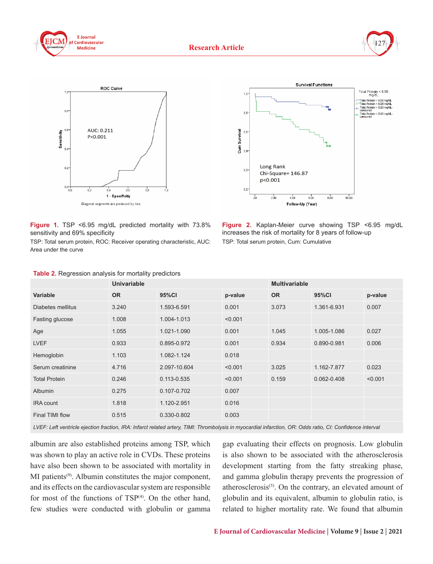







**Figure 1.** TSP <6.95 mg/dL predicted mortality with 73.8% sensitivity and 69% specificity

TSP: Total serum protein, ROC: Receiver operating characteristic, AUC: Area under the curve

**Figure 2.** Kaplan-Meier curve showing TSP <6.95 mg/dL increases the risk of mortality for 8 years of follow-up TSP: Total serum protein, Cum: Cumulative

|                      | <b>Univariable</b> |              |         | <b>Multivariable</b> |             |         |  |
|----------------------|--------------------|--------------|---------|----------------------|-------------|---------|--|
| <b>Variable</b>      | <b>OR</b>          | 95%Cl        | p-value | <b>OR</b>            | 95%CI       | p-value |  |
| Diabetes mellitus    | 3.240              | 1.593-6.591  | 0.001   | 3.073                | 1.361-6.931 | 0.007   |  |
| Fasting glucose      | 1.008              | 1.004-1.013  | < 0.001 |                      |             |         |  |
| Age                  | 1.055              | 1.021-1.090  | 0.001   | 1.045                | 1.005-1.086 | 0.027   |  |
| <b>LVEF</b>          | 0.933              | 0.895-0.972  | 0.001   | 0.934                | 0.890-0.981 | 0.006   |  |
| Hemoglobin           | 1.103              | 1.082-1.124  | 0.018   |                      |             |         |  |
| Serum creatinine     | 4.716              | 2.097-10.604 | < 0.001 | 3.025                | 1.162-7.877 | 0.023   |  |
| <b>Total Protein</b> | 0.246              | 0.113-0.535  | < 0.001 | 0.159                | 0.062-0.408 | < 0.001 |  |
| <b>Albumin</b>       | 0.275              | 0.107-0.702  | 0.007   |                      |             |         |  |
| <b>IRA</b> count     | 1.818              | 1.120-2.951  | 0.016   |                      |             |         |  |
| Final TIMI flow      | 0.515              | 0.330-0.802  | 0.003   |                      |             |         |  |

**Table 2.** Regression analysis for mortality predictors

*LVEF: Left ventricle ejection fraction, IRA: Infarct related artery, TIMI: Thrombolysis in myocardial infarction, OR: Odds ratio, CI: Confidence interval*

albumin are also established proteins among TSP, which was shown to play an active role in CVDs. These proteins have also been shown to be associated with mortality in MI patients<sup>(9)</sup>. Albumin constitutes the major component, and its effects on the cardiovascular system are responsible for most of the functions of  $TSP<sup>(4)</sup>$ . On the other hand, few studies were conducted with globulin or gamma gap evaluating their effects on prognosis. Low globulin is also shown to be associated with the atherosclerosis development starting from the fatty streaking phase, and gamma globulin therapy prevents the progression of atherosclerosis $(5)$ . On the contrary, an elevated amount of globulin and its equivalent, albumin to globulin ratio, is related to higher mortality rate. We found that albumin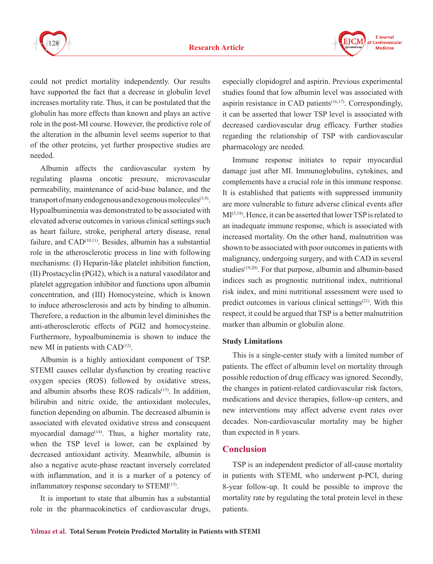



could not predict mortality independently. Our results have supported the fact that a decrease in globulin level increases mortality rate. Thus, it can be postulated that the globulin has more effects than known and plays an active role in the post-MI course. However, the predictive role of the alteration in the albumin level seems superior to that of the other proteins, yet further prospective studies are needed.

Albumin affects the cardiovascular system by regulating plasma oncotic pressure, microvascular permeability, maintenance of acid-base balance, and the transport of many endogenous and exogenous molecules $(3,9)$ . Hypoalbuminemia was demonstrated to be associated with elevated adverse outcomes in various clinical settings such as heart failure, stroke, peripheral artery disease, renal failure, and  $CAD<sup>(10,11)</sup>$ . Besides, albumin has a substantial role in the atherosclerotic process in line with following mechanisms: (I) Heparin-like platelet inhibition function, (II) Prostacyclin (PGI2), which is a natural vasodilator and platelet aggregation inhibitor and functions upon albumin concentration, and (III) Homocysteine, which is known to induce atherosclerosis and acts by binding to albumin. Therefore, a reduction in the albumin level diminishes the anti-atherosclerotic effects of PGI2 and homocysteine. Furthermore, hypoalbuminemia is shown to induce the new MI in patients with  $CAD<sup>(12)</sup>$ .

Albumin is a highly antioxidant component of TSP. STEMI causes cellular dysfunction by creating reactive oxygen species (ROS) followed by oxidative stress, and albumin absorbs these ROS radicals $(13)$ . In addition, bilirubin and nitric oxide, the antioxidant molecules, function depending on albumin. The decreased albumin is associated with elevated oxidative stress and consequent myocardial damage<sup> $(14)$ </sup>. Thus, a higher mortality rate, when the TSP level is lower, can be explained by decreased antioxidant activity. Meanwhile, albumin is also a negative acute-phase reactant inversely correlated with inflammation, and it is a marker of a potency of inflammatory response secondary to STEMI(15).

It is important to state that albumin has a substantial role in the pharmacokinetics of cardiovascular drugs, especially clopidogrel and aspirin. Previous experimental studies found that low albumin level was associated with aspirin resistance in CAD patients $(16,17)$ . Correspondingly, it can be asserted that lower TSP level is associated with decreased cardiovascular drug efficacy. Further studies regarding the relationship of TSP with cardiovascular pharmacology are needed.

Immune response initiates to repair myocardial damage just after MI. Immunoglobulins, cytokines, and complements have a crucial role in this immune response. It is established that patients with suppressed immunity are more vulnerable to future adverse clinical events after MI(5,18). Hence, it can be asserted that lower TSP is related to an inadequate immune response, which is associated with increased mortality. On the other hand, malnutrition was shown to be associated with poor outcomes in patients with malignancy, undergoing surgery, and with CAD in several studies<sup>(19,20)</sup>. For that purpose, albumin and albumin-based indices such as prognostic nutritional index, nutritional risk index, and mini nutritional assessment were used to predict outcomes in various clinical settings(21). With this respect, it could be argued that TSP is a better malnutrition marker than albumin or globulin alone.

#### **Study Limitations**

This is a single-center study with a limited number of patients. The effect of albumin level on mortality through possible reduction of drug efficacy was ignored. Secondly, the changes in patient-related cardiovascular risk factors, medications and device therapies, follow-up centers, and new interventions may affect adverse event rates over decades. Non-cardiovascular mortality may be higher than expected in 8 years.

## **Conclusion**

TSP is an independent predictor of all-cause mortality in patients with STEMI, who underwent p-PCI, during 8-year follow-up. It could be possible to improve the mortality rate by regulating the total protein level in these patients.